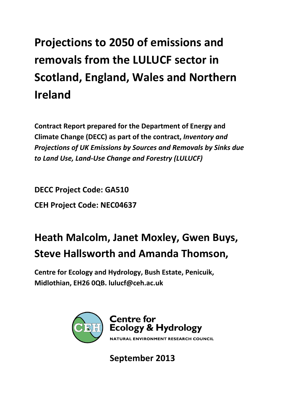# **Projections to 2050 of emissions and removals from the LULUCF sector in Scotland, England, Wales and Northern Ireland**

**Contract Report prepared for the Department of Energy and Climate Change (DECC) as part of the contract,** *Inventory and Projections of UK Emissions by Sources and Removals by Sinks due to Land Use, Land‐Use Change and Forestry (LULUCF)*

**DECC Project Code: GA510 CEH Project Code: NEC04637**

## **Heath Malcolm, Janet Moxley, Gwen Buys, Steve Hallsworth and Amanda Thomson,**

**Centre for Ecology and Hydrology, Bush Estate, Penicuik, Midlothian, EH26 0QB. lulucf@ceh.ac.uk**



**September 2013**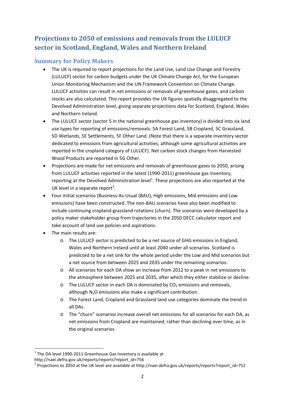### **Projections to 2050 of emissions and removals from the LULUCF sector in Scotland, England, Wales and Northern Ireland**

#### **Summary for Policy Makers**

- The UK is required to report projections for the Land Use, Land Use Change and Forestry (LULUCF) sector for carbon budgets under the UK Climate Change Act, for the European Union Monitoring Mechanism and the UN Framework Convention on Climate Change. LULUCF activities can result in net emissions or removals of greenhouse gases, and carbon stocks are also calculated. This report provides the UK figures spatially disaggregated to the Devolved Administration level, giving separate projections data for Scotland, England, Wales and Northern Ireland.
- The LULUCF sector (sector 5 in the national greenhouse gas inventory) is divided into six land use types for reporting of emissions/removals: 5A Forest Land, 5B Cropland, 5C Grassland, 5D Wetlands, 5E Settlements, 5F Other Land. (Note that there is a separate inventory sector dedicated to emissions from agricultural activities, although some agricultural activities are reported in the cropland category of LULUCF). Net carbon stock changes from Harvested Wood Products are reported in 5G Other.
- Projections are made for net emissions and removals of greenhouse gases to 2050, arising from LULUCF activities reported in the latest (1990-2011) greenhouse gas inventory, reporting at the Devolved Administration level<sup>1</sup>. These projections are also reported at the UK level in a separate report<sup>2</sup>.
- Four initial scenarios (Business‐As‐Usual (BAU), High emissions, Mid emissions and Low emissions) have been constructed. The non-BAU scenarios have also been modified to include continuing cropland‐grassland rotations (churn). The scenarios were developed by a policy maker stakeholder group from trajectories in the 2050 DECC calculator report and take account of land use policies and aspirations.
- The main results are:
	- o The LULUCF sector is predicted to be a net source of GHG emissions in England, Wales and Northern Ireland until at least 2040 under all scenarios. Scotland is predicted to be a net sink for the whole period under the Low and Mid scenarios but a net source from between 2025 and 2035 under the remaining scenarios.
	- o All scenarios for each DA show an increase from 2012 to a peak in net emissions to the atmosphere between 2025 and 2035, after which they either stabilize or decline.
	- o The LULUCF sector in each DA is dominated by  $CO<sub>2</sub>$  emissions and removals, although  $N_2O$  emissions also make a significant contribution.
	- o The Forest Land, Cropland and Grassland land use categories dominate the trend in all DAs.
	- o The "churn" scenarios increase overall net emissions for all scenarios for each DA, as net emissions from Cropland are maintained, rather than declining over time, as in the original scenarios

  $1$  The DA level 1990-2011 Greenhouse Gas Inventory is available at

http://naei.defra.gov.uk/reports/reports?report\_id=756<br><sup>2</sup> Projections to 2050 at the UK level are available at http://naei.defra.gov.uk/reports/reports?report\_id=752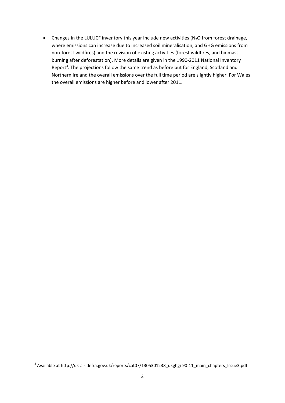• Changes in the LULUCF inventory this year include new activities ( $N<sub>2</sub>O$  from forest drainage, where emissions can increase due to increased soil mineralisation, and GHG emissions from non‐forest wildfires) and the revision of existing activities (forest wildfires, and biomass burning after deforestation). More details are given in the 1990‐2011 National Inventory Report<sup>3</sup>. The projections follow the same trend as before but for England, Scotland and Northern Ireland the overall emissions over the full time period are slightly higher. For Wales the overall emissions are higher before and lower after 2011.

  $^3$  Available at http://uk-air.defra.gov.uk/reports/cat07/1305301238\_ukghgi-90-11\_main\_chapters\_Issue3.pdf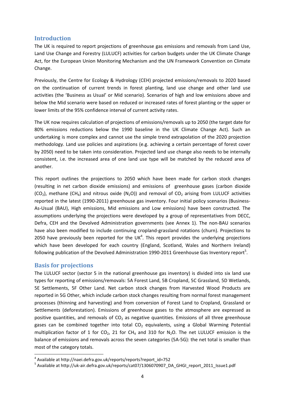#### **Introduction**

The UK is required to report projections of greenhouse gas emissions and removals from Land Use, Land Use Change and Forestry (LULUCF) activities for carbon budgets under the UK Climate Change Act, for the European Union Monitoring Mechanism and the UN Framework Convention on Climate Change.

Previously, the Centre for Ecology & Hydrology (CEH) projected emissions/removals to 2020 based on the continuation of current trends in forest planting, land use change and other land use activities (the 'Business as Usual' or Mid scenario). Scenarios of high and low emissions above and below the Mid scenario were based on reduced or increased rates of forest planting or the upper or lower limits of the 95% confidence interval of current activity rates.

The UK now requires calculation of projections of emissions/removals up to 2050 (the target date for 80% emissions reductions below the 1990 baseline in the UK Climate Change Act). Such an undertaking is more complex and cannot use the simple trend extrapolation of the 2020 projection methodology. Land use policies and aspirations (e.g. achieving a certain percentage of forest cover by 2050) need to be taken into consideration. Projected land use change also needs to be internally consistent, i.e. the increased area of one land use type will be matched by the reduced area of another.

This report outlines the projections to 2050 which have been made for carbon stock changes (resulting in net carbon dioxide emissions) and emissions of greenhouse gases (carbon dioxide  $(CO<sub>2</sub>)$ , methane  $(CH<sub>4</sub>)$  and nitrous oxide (N<sub>2</sub>O)) and removal of CO<sub>2</sub> arising from LULUCF activities reported in the latest (1990-2011) greenhouse gas inventory. Four initial policy scenarios (Business-As‐Usual (BAU), High emissions, Mid emissions and Low emissions) have been constructed. The assumptions underlying the projections were developed by a group of representatives from DECC, Defra, CEH and the Devolved Administration governments (see Annex 1). The non‐BAU scenarios have also been modified to include continuing cropland‐grassland rotations (churn). Projections to 2050 have previously been reported for the UK<sup>4</sup>. This report provides the underlying projections which have been developed for each country (England, Scotland, Wales and Northern Ireland) following publication of the Devolved Administration 1990-2011 Greenhouse Gas Inventory report<sup>5</sup>.

#### **Basis for projections**

The LULUCF sector (sector 5 in the national greenhouse gas inventory) is divided into six land use types for reporting of emissions/removals: 5A Forest Land, 5B Cropland, 5C Grassland, 5D Wetlands, 5E Settlements, 5F Other Land. Net carbon stock changes from Harvested Wood Products are reported in 5G Other, which include carbon stock changes resulting from normal forest management processes (thinning and harvesting) and from conversion of Forest Land to Cropland, Grassland or Settlements (deforestation). Emissions of greenhouse gases to the atmosphere are expressed as positive quantities, and removals of  $CO<sub>2</sub>$  as negative quantities. Emissions of all three greenhouse gases can be combined together into total  $CO<sub>2</sub>$  equivalents, using a Global Warming Potential multiplication factor of 1 for  $CO<sub>2</sub>$ , 21 for CH<sub>4</sub> and 310 for N<sub>2</sub>O. The net LULUCF emission is the balance of emissions and removals across the seven categories (5A‐5G): the net total is smaller than most of the category totals.

 $^4$  Available at http://naei.defra.gov.uk/reports/reports?report\_id=752<br>  $^5$  Available at http://uk-air.defra.gov.uk/reports/cat07/1306070907\_DA\_GHGI\_report\_2011\_Issue1.pdf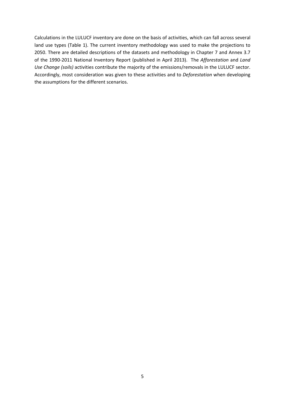Calculations in the LULUCF inventory are done on the basis of activities, which can fall across several land use types (Table 1). The current inventory methodology was used to make the projections to 2050. There are detailed descriptions of the datasets and methodology in Chapter 7 and Annex 3.7 of the 1990‐2011 National Inventory Report (published in April 2013). The *Afforestation* and *Land Use Change (soils)* activities contribute the majority of the emissions/removals in the LULUCF sector. Accordingly, most consideration was given to these activities and to *Deforestation* when developing the assumptions for the different scenarios.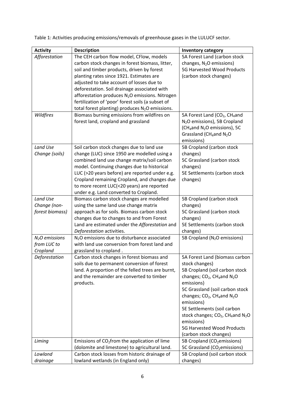| <b>Activity</b> | <b>Description</b>                                                                               | <b>Inventory category</b>                                                     |
|-----------------|--------------------------------------------------------------------------------------------------|-------------------------------------------------------------------------------|
| Afforestation   | The CEH carbon flow model, CFlow, models                                                         | 5A Forest Land (carbon stock                                                  |
|                 | carbon stock changes in forest biomass, litter,                                                  | changes, N <sub>2</sub> O emissions)                                          |
|                 | soil and timber products, driven by forest                                                       | 5G Harvested Wood Products                                                    |
|                 | planting rates since 1921. Estimates are                                                         | (carbon stock changes)                                                        |
|                 | adjusted to take account of losses due to                                                        |                                                                               |
|                 | deforestation. Soil drainage associated with                                                     |                                                                               |
|                 | afforestation produces N <sub>2</sub> O emissions. Nitrogen                                      |                                                                               |
|                 | fertilization of 'poor' forest soils (a subset of                                                |                                                                               |
|                 | total forest planting) produces N <sub>2</sub> O emissions.                                      |                                                                               |
| Wildfires       | Biomass burning emissions from wildfires on                                                      | 5A Forest Land (CO <sub>2</sub> , CH <sub>4</sub> and                         |
|                 | forest land, cropland and grassland                                                              | N <sub>2</sub> O emissions), 5B Cropland                                      |
|                 |                                                                                                  | (CH <sub>4</sub> and N <sub>2</sub> O emissions), 5C                          |
|                 |                                                                                                  | Grassland (CH <sub>4</sub> and N <sub>2</sub> O<br>emissions)                 |
| Land Use        | Soil carbon stock changes due to land use                                                        | 5B Cropland (carbon stock                                                     |
| Change (soils)  | change (LUC) since 1950 are modelled using a                                                     | changes)                                                                      |
|                 | combined land use change matrix/soil carbon                                                      | 5C Grassland (carbon stock                                                    |
|                 | model. Continuing changes due to historical                                                      | changes)                                                                      |
|                 | LUC (>20 years before) are reported under e.g.                                                   | 5E Settlements (carbon stock                                                  |
|                 | Cropland remaining Cropland, and changes due                                                     | changes)                                                                      |
|                 | to more recent LUC(<20 years) are reported                                                       |                                                                               |
|                 | under e.g. Land converted to Cropland.                                                           |                                                                               |
| Land Use        | Biomass carbon stock changes are modelled                                                        | 5B Cropland (carbon stock                                                     |
| Change (non-    | using the same land use change matrix                                                            | changes)                                                                      |
| forest biomass) | approach as for soils. Biomass carbon stock                                                      | 5C Grassland (carbon stock                                                    |
|                 | changes due to changes to and from Forest                                                        | changes)                                                                      |
|                 | Land are estimated under the Afforestation and                                                   | 5E Settlements (carbon stock                                                  |
|                 | Deforestation activities.                                                                        | changes)                                                                      |
| $N2O$ emissions | N <sub>2</sub> O emissions due to disturbance associated                                         | 5B Cropland (N <sub>2</sub> O emissions)                                      |
| from LUC to     | with land use conversion from forest land and                                                    |                                                                               |
| Cropland        | grassland to cropland.                                                                           |                                                                               |
| Deforestation   | Carbon stock changes in forest biomass and                                                       | 5A Forest Land (biomass carbon                                                |
|                 | soils due to permanent conversion of forest<br>land. A proportion of the felled trees are burnt, | stock changes)                                                                |
|                 | and the remainder are converted to timber                                                        | 5B Cropland (soil carbon stock                                                |
|                 | products.                                                                                        | changes; CO <sub>2</sub> , CH <sub>4</sub> and N <sub>2</sub> O<br>emissions) |
|                 |                                                                                                  | 5C Grassland (soil carbon stock                                               |
|                 |                                                                                                  | changes; $CO2$ , CH <sub>4</sub> and N <sub>2</sub> O                         |
|                 |                                                                                                  | emissions)                                                                    |
|                 |                                                                                                  | 5E Settlements (soil carbon                                                   |
|                 |                                                                                                  | stock changes; CO <sub>2</sub> , CH <sub>4</sub> and N <sub>2</sub> O         |
|                 |                                                                                                  | emissions)                                                                    |
|                 |                                                                                                  | 5G Harvested Wood Products                                                    |
|                 |                                                                                                  | (carbon stock changes)                                                        |
| Liming          | Emissions of $CO2$ from the application of lime                                                  | 5B Cropland (CO <sub>2</sub> emissions)                                       |
|                 | (dolomite and limestone) to agricultural land.                                                   | 5C Grassland (CO <sub>2</sub> emissions)                                      |
| Lowland         | Carbon stock losses from historic drainage of                                                    | 5B Cropland (soil carbon stock                                                |
| drainage        | lowland wetlands (in England only)                                                               | changes)                                                                      |

Table 1: Activities producing emissions/removals of greenhouse gases in the LULUCF sector.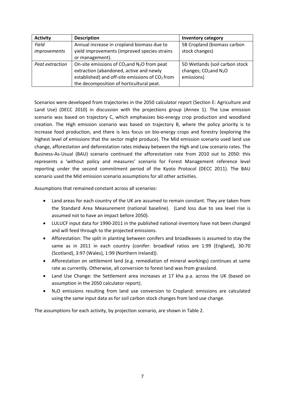| <b>Activity</b> | <b>Description</b>                                        | <b>Inventory category</b>           |
|-----------------|-----------------------------------------------------------|-------------------------------------|
| Yield           | Annual increase in cropland biomass due to                | 5B Cropland (biomass carbon         |
| improvements    | yield improvements (improved species strains              | stock changes)                      |
|                 | or management).                                           |                                     |
| Peat extraction | On-site emissions of $CO2$ and N <sub>2</sub> O from peat | 5D Wetlands (soil carbon stock      |
|                 | extraction (abandoned, active and newly                   | changes; $CO2$ and N <sub>2</sub> O |
|                 | established) and off-site emissions of $CO2$ from         | emissions)                          |
|                 | the decomposition of horticultural peat.                  |                                     |

Scenarios were developed from trajectories in the 2050 calculator report (Section E: Agriculture and Land Use) (DECC 2010) in discussion with the projections group (Annex 1). The Low emission scenario was based on trajectory C, which emphasizes bio-energy crop production and woodland creation. The High emission scenario was based on trajectory B, where the policy priority is to increase food production, and there is less focus on bio‐energy crops and forestry (exploring the highest level of emissions that the sector might produce). The Mid emission scenario used land use change, afforestation and deforestation rates midway between the High and Low scenario rates. The Business‐As‐Usual (BAU) scenario continued the afforestation rate from 2010 out to 2050: this represents a 'without policy and measures' scenario for Forest Management reference level reporting under the second commitment period of the Kyoto Protocol (DECC 2011). The BAU scenario used the Mid emission scenario assumptions for all other activities.

Assumptions that remained constant across all scenarios:

- Land areas for each country of the UK are assumed to remain constant. They are taken from the Standard Area Measurement (national baseline). (Land loss due to sea level rise is assumed not to have an impact before 2050).
- LULUCF input data for 1990‐2011 in the published national inventory have not been changed and will feed through to the projected emissions.
- Afforestation: The split in planting between conifers and broadleaves is assumed to stay the same as in 2011 in each country (conifer: broadleaf ratios are 1:99 (England), 30:70 (Scotland), 3:97 (Wales), 1:99 (Northern Ireland)).
- Afforestation on settlement land (e.g. remediation of mineral workings) continues at same rate as currently. Otherwise, all conversion to forest land was from grassland.
- Land Use Change: the Settlement area increases at 17 kha p.a. across the UK (based on assumption in the 2050 calculator report).
- N<sub>2</sub>O emissions resulting from land use conversion to Cropland: emissions are calculated using the same input data as for soil carbon stock changes from land use change.

The assumptions for each activity, by projection scenario, are shown in Table 2.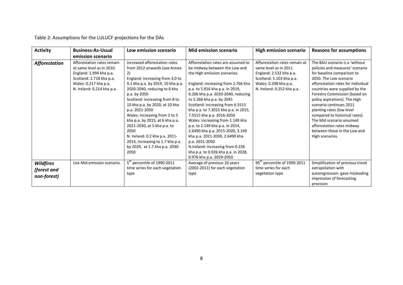Table 2: Assumptions for the LULUCF projections for the DAs

| <b>Activity</b>      | <b>Business-As-Usual</b>   | Low emission scenario                   | <b>Mid emission scenario</b>         | <b>High emission scenario</b>            | <b>Reasons for assumptions</b>     |
|----------------------|----------------------------|-----------------------------------------|--------------------------------------|------------------------------------------|------------------------------------|
|                      | emission scenario          |                                         |                                      |                                          |                                    |
| <b>Afforestation</b> | Afforestation rates remain | Increased afforestation rates           | Afforestation rates are assumed to   | Afforestation rates remain at            | The BAU scenario is a 'without     |
|                      | at same level as in 2010.  | from 2012 onwards (see Annex            | be midway between the Low and        | same level as in 2011                    | policies and measures' scenario    |
|                      | England: 1.994 kha p.a.    | 2)                                      | the High emission scenarios.         | England: 2.532 kha p.a.                  | for baseline comparison to         |
|                      | Scotland: 2.718 kha p.a.   | England: increasing from 3.0 to         |                                      | Scotland: 5.103 kha p.a.                 | 2050. The Low scenario             |
|                      | Wales: 0.217 kha p.a.      | 9.1 kha p.a. by 2019, 10 kha p.a.       | England: increasing from 2.766 kha   | Wales: 0.298 kha p.a.                    | afforestation rates for individual |
|                      | N. Ireland: 0.214 kha p.a. | 2020-2040, reducing to 6 kha            | p.a. to 5.816 kha p.a. in 2019,      | N. Ireland: 0.252 kha p.a.               | countries were supplied by the     |
|                      |                            | p.a. by 2050                            | 6.266 kha p.a. 2020-2040, reducing   |                                          | Forestry Commission (based on      |
|                      |                            | Scotland: increasing from 8 to          | to 5.266 kha p.a. by 2045            |                                          | policy aspirations). The High      |
|                      |                            | 10 kha p.a. by 2020, at 10 kha          | Scotland: increasing from 6.5515     |                                          | scenario continues 2011            |
|                      |                            | p.a. 2021-2050                          | kha p.a. to 7.3015 kha p.a. in 2015, |                                          | planting rates (low level          |
|                      |                            | Wales: increasing from 2 to 5           | 7.5515 kha p.a. 2016-2050            |                                          | compared to historical rates).     |
|                      |                            | kha p.a. by 2015, at 6 kha p.a.         | Wales: increasing from 1.149 kha     |                                          | The Mid scenario assumed           |
|                      |                            | 2021-2030, at 5 kha p.a. to             | p.a. to 2.149 kha p.a. in 2014,      |                                          | afforestation rates midway         |
|                      |                            | 2050                                    | 2.6490 kha p.a. 2015-2020, 3.149     |                                          | between those in the Low and       |
|                      |                            | N. Ireland: 0.2 kha p.a. 2011-          | kha p.a. 2021-2030, 2.6490 kha       |                                          | High scenarios.                    |
|                      |                            | 2014, increasing to 1.7 kha p.a.        | p.a. 2031-2050                       |                                          |                                    |
|                      |                            | by 2029, at 1.7 kha p.a. 2030-          | N.Ireland: increasing from 0.226     |                                          |                                    |
|                      |                            | 2050                                    | kha p.a. to 0.926 kha p.a. in 2028,  |                                          |                                    |
|                      |                            |                                         | 0.976 kha p.a. 2029-2050.            |                                          |                                    |
| <b>Wildfires</b>     | Use Mid emission scenario. | 5 <sup>th</sup> percentile of 1990-2011 | Average of previous 10 years         | 95 <sup>th</sup> percentile of 1990-2011 | Simplification of previous trend   |
| (forest and          |                            | time series for each vegetation         | (2002-2011) for each vegetation      | time series for each                     | extrapolation with                 |
|                      |                            | type                                    | type                                 | vegetation type                          | autoregression-gave misleading     |
| non-forest)          |                            |                                         |                                      |                                          | impression of forecasting          |
|                      |                            |                                         |                                      |                                          | precision                          |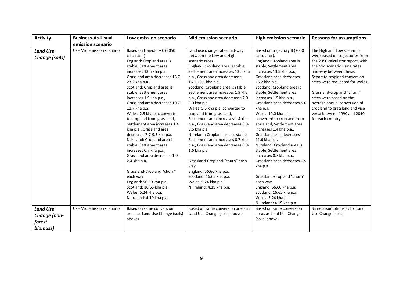| <b>Activity</b>                    | <b>Business-As-Usual</b>  | Low emission scenario                                                                                                                                                                                                                                                                                                                                                                                                                                                                                                                                                                                                                                                                                                                                                            | <b>Mid emission scenario</b>                                                                                                                                                                                                                                                                                                                                                                                                                                                                                                                                                                                                                                                                                                                                                                           | <b>High emission scenario</b>                                                                                                                                                                                                                                                                                                                                                                                                                                                                                                                                                                                                                                                                                                       | <b>Reasons for assumptions</b>                                                                                                                                                                                                                                                                                                                                                                                |
|------------------------------------|---------------------------|----------------------------------------------------------------------------------------------------------------------------------------------------------------------------------------------------------------------------------------------------------------------------------------------------------------------------------------------------------------------------------------------------------------------------------------------------------------------------------------------------------------------------------------------------------------------------------------------------------------------------------------------------------------------------------------------------------------------------------------------------------------------------------|--------------------------------------------------------------------------------------------------------------------------------------------------------------------------------------------------------------------------------------------------------------------------------------------------------------------------------------------------------------------------------------------------------------------------------------------------------------------------------------------------------------------------------------------------------------------------------------------------------------------------------------------------------------------------------------------------------------------------------------------------------------------------------------------------------|-------------------------------------------------------------------------------------------------------------------------------------------------------------------------------------------------------------------------------------------------------------------------------------------------------------------------------------------------------------------------------------------------------------------------------------------------------------------------------------------------------------------------------------------------------------------------------------------------------------------------------------------------------------------------------------------------------------------------------------|---------------------------------------------------------------------------------------------------------------------------------------------------------------------------------------------------------------------------------------------------------------------------------------------------------------------------------------------------------------------------------------------------------------|
|                                    | emission scenario         |                                                                                                                                                                                                                                                                                                                                                                                                                                                                                                                                                                                                                                                                                                                                                                                  |                                                                                                                                                                                                                                                                                                                                                                                                                                                                                                                                                                                                                                                                                                                                                                                                        |                                                                                                                                                                                                                                                                                                                                                                                                                                                                                                                                                                                                                                                                                                                                     |                                                                                                                                                                                                                                                                                                                                                                                                               |
| <b>Land Use</b><br>Change (soils)  | Use Mid emission scenario | Based on trajectory C (2050<br>calculator).<br>England: Cropland area is<br>stable, Settlement area<br>increases 13.5 kha p.a.,<br>Grassland area decreases 18.7-<br>23.2 kha p.a.<br>Scotland: Cropland area is<br>stable, Settlement area<br>increases 1.9 kha p.a.,<br>Grassland area decreases 10.7-<br>11.7 kha p.a.<br>Wales: 2.5 kha p.a. converted<br>to cropland from grassland,<br>Settlement area increases 1.4<br>kha p.a., Grassland area<br>decreases 7.7-9.5 kha p.a.<br>N.Ireland: Cropland area is<br>stable, Settlement area<br>increases 0.7 kha p.a.,<br>Grassland area decreases 1.0-<br>2.4 kha p.a.<br>Grassland-Cropland "churn"<br>each way<br>England: 56.60 kha p.a.<br>Scotland: 16.65 kha p.a.<br>Wales: 5.24 kha p.a.<br>N. Ireland: 4.19 kha p.a. | Land use change rates mid-way<br>between the Low and High<br>scenario rates.<br>England: Cropland area is stable,<br>Settlement area increases 13.5 kha<br>p.a., Grassland area decreases<br>16.1-19.1 kha p.a.<br>Scotland: Cropland area is stable,<br>Settlement area increases 1.9 kha<br>p.a., Grassland area decreases 7.0-<br>8.0 kha p.a.<br>Wales: 5.5 kha p.a. converted to<br>cropland from grassland,<br>Settlement area increases 1.4 kha<br>p.a., Grassland area decreases 8.9-<br>9.6 kha p.a.<br>N.Ireland: Cropland area is stable,<br>Settlement area increases 0.7 kha<br>p.a., Grassland area decreases 0.9-<br>1.6 kha p.a.<br>Grassland-Cropland "churn" each<br>way<br>England: 56.60 kha p.a.<br>Scotland: 16.65 kha p.a.<br>Wales: 5.24 kha p.a.<br>N. Ireland: 4.19 kha p.a. | Based on trajectory B (2050)<br>calculator).<br>England: Cropland area is<br>stable, Settlement area<br>increases 13.5 kha p.a.,<br>Grassland area decreases<br>15.2 kha p.a.<br>Scotland: Cropland area is<br>stable, Settlement area<br>increases 1.9 kha p.a.,<br>Grassland area decreases 5.0<br>kha p.a.<br>Wales: 10.0 kha p.a.<br>converted to cropland from<br>grassland, Settlement area<br>increases 1.4 kha p.a.,<br>Grassland area decreases<br>11.6 kha p.a.<br>N.Ireland: Cropland area is<br>stable, Settlement area<br>increases 0.7 kha p.a.,<br>Grassland area decreases 0.9<br>kha p.a.<br>Grassland-Cropland "churn"<br>each way<br>England: 56.60 kha p.a.<br>Scotland: 16.65 kha p.a.<br>Wales: 5.24 kha p.a. | The High and Low scenarios<br>were based on trajectories from<br>the 2050 calculator report, with<br>the Mid scenario using rates<br>mid-way between these.<br>Separate cropland conversion<br>rates were requested for Wales.<br>Grassland-cropland "churn"<br>rates were based on the<br>average annual conversion of<br>cropland to grassland and vice<br>versa between 1990 and 2010<br>for each country. |
| <b>Land Use</b>                    | Use Mid emission scenario | Based on same conversion                                                                                                                                                                                                                                                                                                                                                                                                                                                                                                                                                                                                                                                                                                                                                         | Based on same conversion areas as                                                                                                                                                                                                                                                                                                                                                                                                                                                                                                                                                                                                                                                                                                                                                                      | N. Ireland: 4.19 kha p.a.<br>Based on same conversion                                                                                                                                                                                                                                                                                                                                                                                                                                                                                                                                                                                                                                                                               | Same assumptions as for Land                                                                                                                                                                                                                                                                                                                                                                                  |
| Change (non-<br>forest<br>biomass) |                           | areas as Land Use Change (soils)<br>above)                                                                                                                                                                                                                                                                                                                                                                                                                                                                                                                                                                                                                                                                                                                                       | Land Use Change (soils) above)                                                                                                                                                                                                                                                                                                                                                                                                                                                                                                                                                                                                                                                                                                                                                                         | areas as Land Use Change<br>(soils) above)                                                                                                                                                                                                                                                                                                                                                                                                                                                                                                                                                                                                                                                                                          | Use Change (soils)                                                                                                                                                                                                                                                                                                                                                                                            |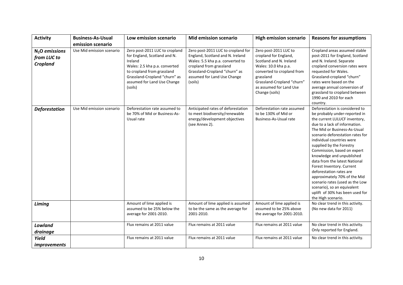| <b>Activity</b>                                   | <b>Business-As-Usual</b>  | Low emission scenario                                                                                                                                                                                               | <b>Mid emission scenario</b>                                                                                                                                                                                     | <b>High emission scenario</b>                                                                                                                                                                                           | <b>Reasons for assumptions</b>                                                                                                                                                                                                                                                                                                                                                                                                                                                                                                                                                 |
|---------------------------------------------------|---------------------------|---------------------------------------------------------------------------------------------------------------------------------------------------------------------------------------------------------------------|------------------------------------------------------------------------------------------------------------------------------------------------------------------------------------------------------------------|-------------------------------------------------------------------------------------------------------------------------------------------------------------------------------------------------------------------------|--------------------------------------------------------------------------------------------------------------------------------------------------------------------------------------------------------------------------------------------------------------------------------------------------------------------------------------------------------------------------------------------------------------------------------------------------------------------------------------------------------------------------------------------------------------------------------|
|                                                   | emission scenario         |                                                                                                                                                                                                                     |                                                                                                                                                                                                                  |                                                                                                                                                                                                                         |                                                                                                                                                                                                                                                                                                                                                                                                                                                                                                                                                                                |
| $N2O$ emissions<br>from LUC to<br><b>Cropland</b> | Use Mid emission scenario | Zero post-2011 LUC to cropland<br>for England, Scotland and N.<br>Ireland<br>Wales: 2.5 kha p.a. converted<br>to cropland from grassland<br>Grassland-Cropland "churn" as<br>assumed for Land Use Change<br>(soils) | Zero post-2011 LUC to cropland for<br>England, Scotland and N. Ireland<br>Wales: 5.5 kha p.a. converted to<br>cropland from grassland<br>Grassland-Cropland "churn" as<br>assumed for Land Use Change<br>(soils) | Zero post-2011 LUC to<br>cropland for England,<br>Scotland and N. Ireland<br>Wales: 10.0 kha p.a.<br>converted to cropland from<br>grassland<br>Grassland-Cropland "churn"<br>as assumed for Land Use<br>Change (soils) | Cropland areas assumed stable<br>post-2011 for England, Scotland<br>and N. Ireland. Separate<br>cropland conversion rates were<br>requested for Wales.<br>Grassland-cropland "churn"<br>rates were based on the<br>average annual conversion of<br>grassland to cropland between<br>1990 and 2010 for each<br>country.                                                                                                                                                                                                                                                         |
| <b>Deforestation</b>                              | Use Mid emission scenario | Deforestation rate assumed to<br>be 70% of Mid or Business-As-<br>Usual rate                                                                                                                                        | Anticipated rates of deforestation<br>to meet biodiversity/renewable<br>energy/development objectives<br>(see Annex 2).                                                                                          | Deforestation rate assumed<br>to be 130% of Mid or<br>Business-As-Usual rate                                                                                                                                            | Deforestation is considered to<br>be probably under-reported in<br>the current LULUCF inventory,<br>due to a lack of information.<br>The Mid or Business-As-Usual<br>scenario deforestation rates for<br>individual countries were<br>supplied by the Forestry<br>Commission, based on expert<br>knowledge and unpublished<br>data from the latest National<br>Forest Inventory. Current<br>deforestation rates are<br>approximately 70% of the Mid<br>scenario rates (used as the Low<br>scenario), so an equivalent<br>uplift of 30% has been used for<br>the High scenario. |
| Liming                                            |                           | Amount of lime applied is<br>assumed to be 25% below the<br>average for 2001-2010.                                                                                                                                  | Amount of lime applied is assumed<br>to be the same as the average for<br>2001-2010.                                                                                                                             | Amount of lime applied is<br>assumed to be 25% above<br>the average for 2001-2010.                                                                                                                                      | No clear trend in this activity.<br>(No new data for 2011)                                                                                                                                                                                                                                                                                                                                                                                                                                                                                                                     |
| Lowland<br>drainage                               |                           | Flux remains at 2011 value                                                                                                                                                                                          | Flux remains at 2011 value                                                                                                                                                                                       | Flux remains at 2011 value                                                                                                                                                                                              | No clear trend in this activity.<br>Only reported for England.                                                                                                                                                                                                                                                                                                                                                                                                                                                                                                                 |
| Yield<br><i>improvements</i>                      |                           | Flux remains at 2011 value                                                                                                                                                                                          | Flux remains at 2011 value                                                                                                                                                                                       | Flux remains at 2011 value                                                                                                                                                                                              | No clear trend in this activity.                                                                                                                                                                                                                                                                                                                                                                                                                                                                                                                                               |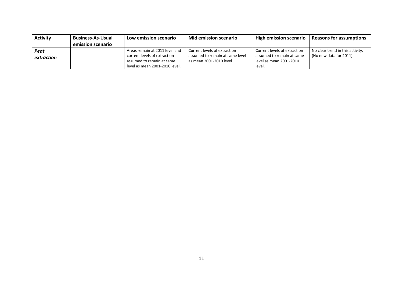| <b>Activity</b> | <b>Business-As-Usual</b><br>Low emission scenario |                                | Mid emission scenario           | <b>High emission scenario</b> | <b>Reasons for assumptions</b>   |
|-----------------|---------------------------------------------------|--------------------------------|---------------------------------|-------------------------------|----------------------------------|
|                 | emission scenario                                 |                                |                                 |                               |                                  |
| Peat            |                                                   | Areas remain at 2011 level and | Current levels of extraction    | Current levels of extraction  | No clear trend in this activity. |
| extraction      |                                                   | current levels of extraction   | assumed to remain at same level | assumed to remain at same     | (No new data for 2011)           |
|                 |                                                   | assumed to remain at same      | as mean 2001-2010 level.        | level as mean 2001-2010       |                                  |
|                 |                                                   | level as mean 2001-2010 level. |                                 | level.                        |                                  |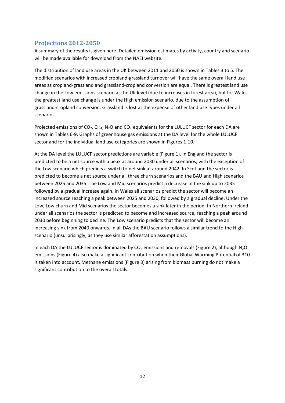#### **Projections 2012‐2050**

A summary of the results is given here. Detailed emission estimates by activity, country and scenario will be made available for download from the NAEI website.

The distribution of land use areas in the UK between 2011 and 2050 is shown in Tables 3 to 5. The modified scenarios with increased cropland‐grassland turnover will have the same overall land use areas as cropland‐grassland and grassland‐cropland conversion are equal. There is greatest land use change in the Low emissions scenario at the UK level (due to increases in forest area), but for Wales the greatest land use change is under the High emission scenario, due to the assumption of grassland‐cropland conversion. Grassland is lost at the expense of other land use types under all scenarios.

Projected emissions of  $CO<sub>2</sub>$ , CH<sub>4</sub>, N<sub>2</sub>O and CO<sub>2</sub> equivalents for the LULUCF sector for each DA are shown in Tables 6‐9. Graphs of greenhouse gas emissions at the DA level for the whole LULUCF sector and for the individual land use categories are shown in Figures 1‐10.

At the DA level the LULUCF sector predictions are variable (Figure 1). In England the sector is predicted to be a net source with a peak at around 2030 under all scenarios, with the exception of the Low scenario which predicts a switch to net sink at around 2042. In Scotland the sector is predicted to become a net source under all three churn scenarios and the BAU and High scenarios between 2025 and 2035. The Low and Mid scenarios predict a decrease in the sink up to 2035 followed by a gradual increase again. In Wales all scenarios predict the sector will become an increased source reaching a peak between 2025 and 2030, followed by a gradual decline. Under the Low, Low churn and Mid scenarios the sector becomes a sink later in the period. In Northern Ireland under all scenarios the sector is predicted to become and increased source, reaching a peak around 2030 before beginning to decline. The Low scenario predicts that the sector will become an increasing sink from 2040 onwards. In all DAs the BAU scenario follows a similar trend to the High scenario (unsurprisingly, as they use similar afforestation assumptions).

In each DA the LULUCF sector is dominated by  $CO<sub>2</sub>$  emissions and removals (Figure 2), although N<sub>2</sub>O emissions (Figure 4) also make a significant contribution when their Global Warming Potential of 310 is taken into account. Methane emissions (Figure 3) arising from biomass burning do not make a significant contribution to the overall totals.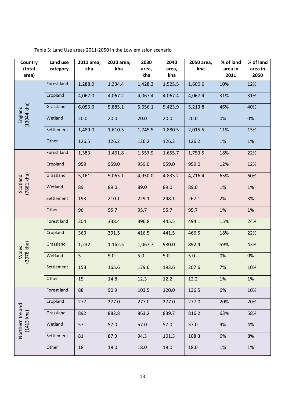| Country                        | Land use           | 2011 area, | 2020 area, | 2030    | 2040    | 2050 area, | % of land | % of land |
|--------------------------------|--------------------|------------|------------|---------|---------|------------|-----------|-----------|
| (total                         | category           | kha        | kha        | area,   | area,   | kha        | area in   | area in   |
| area)                          |                    |            |            | kha     | kha     |            | 2011      | 2050      |
|                                | Forest land        | 1,288.0    | 1,334.4    | 1,428.3 | 1,525.5 | 1,600.6    | 10%       | 12%       |
|                                | Cropland           | 4,067.0    | 4,067.2    | 4,067.4 | 4,067.4 | 4,067.4    | 31%       | 31%       |
|                                | Grassland          | 6,053.0    | 5,885.1    | 5,656.1 | 5,423.9 | 5,213.8    | 46%       | 40%       |
| England<br>(13044 kha)         | Wetland            | 20.0       | 20.0       | 20.0    | 20.0    | 20.0       | 0%        | 0%        |
|                                | Settlement         | 1,489.0    | 1,610.5    | 1,745.5 | 1,880.5 | 2,015.5    | 11%       | 15%       |
|                                | Other              | 126.5      | 126.2      | 126.2   | 126.2   | 126.2      | 1%        | 1%        |
|                                | Forest land        | 1,383      | 1,461.8    | 1,557.9 | 1,655.7 | 1,753.5    | 18%       | 22%       |
|                                | Cropland           | 959        | 959.0      | 959.0   | 959.0   | 959.0      | 12%       | 12%       |
| Scotland<br>(7881 kha)         | Grassland          | 5,161      | 5,065.1    | 4,950.0 | 4,833.2 | 4,716.4    | 65%       | 60%       |
|                                | Wetland            | 89         | 89.0       | 89.0    | 89.0    | 89.0       | 1%        | 1%        |
|                                | Settlement         | 193        | 210.1      | 229.1   | 248.1   | 267.1      | 2%        | 3%        |
|                                | Other              | 96         | 95.7       | 95.7    | 95.7    | 95.7       | 1%        | 1%        |
|                                | <b>Forest land</b> | 304        | 338.4      | 396.8   | 445.5   | 494.1      | 15%       | 24%       |
|                                | Cropland           | 369        | 391.5      | 416.5   | 441.5   | 466.5      | 18%       | 22%       |
|                                | Grassland          | 1,232      | 1,162.5    | 1,067.7 | 980.0   | 892.4      | 59%       | 43%       |
| $(2078$ kha)<br>Wales          | Wetland            | 5          | 5.0        | 5.0     | 5.0     | 5.0        | 0%        | 0%        |
|                                | Settlement         | 153        | 165.6      | 179.6   | 193.6   | 207.6      | 7%        | 10%       |
|                                | Other              | 15         | 14.8       | 12.3    | 12.2    | 12.2       | 1%        | 1%        |
|                                | Forest land        | 88         | 90.9       | 103.5   | 120.0   | 136.5      | 6%        | 10%       |
|                                | Cropland           | 277        | 277.0      | 277.0   | 277.0   | 277.0      | 20%       | 20%       |
| Northern Ireland<br>(1413 kha) | Grassland          | 892        | 882.8      | 863.2   | 839.7   | 816.2      | 63%       | 58%       |
|                                | Wetland            | 57         | 57.0       | 57.0    | 57.0    | 57.0       | 4%        | 4%        |
|                                | Settlement         | 81         | 87.3       | 94.3    | 101.3   | 108.3      | 6%        | 8%        |
|                                | Other              | 18         | 18.0       | 18.0    | 18.0    | 18.0       | 1%        | 1%        |

#### Table 3: Land Use areas 2011‐2050 in the Low emission scenario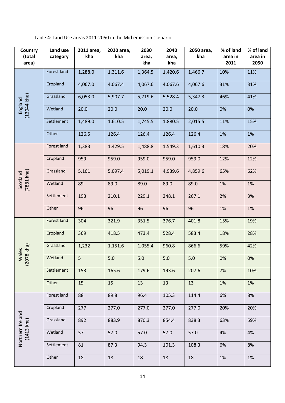Table 4: Land Use areas 2011‐2050 in the Mid emission scenario

| Country<br>(total      | Land use           | 2011 area,<br>kha | 2020 area,<br>kha | 2030         | 2040         | 2050 area,<br>kha | % of land<br>area in | % of land       |
|------------------------|--------------------|-------------------|-------------------|--------------|--------------|-------------------|----------------------|-----------------|
| area)                  | category           |                   |                   | area,<br>kha | area,<br>kha |                   | 2011                 | area in<br>2050 |
|                        | Forest land        | 1,288.0           | 1,311.6           | 1,364.5      | 1,420.6      | 1,466.7           | 10%                  | 11%             |
|                        | Cropland           | 4,067.0           | 4,067.4           | 4,067.6      | 4,067.6      | 4,067.6           | 31%                  | 31%             |
|                        | Grassland          | 6,053.0           | 5,907.7           | 5,719.6      | 5,528.4      | 5,347.3           | 46%                  | 41%             |
| England<br>(13044 kha) | Wetland            | 20.0              | 20.0              | 20.0         | 20.0         | 20.0              | 0%                   | 0%              |
|                        | Settlement         | 1,489.0           | 1,610.5           | 1,745.5      | 1,880.5      | 2,015.5           | 11%                  | 15%             |
|                        | Other              | 126.5             | 126.4             | 126.4        | 126.4        | 126.4             | 1%                   | 1%              |
|                        | Forest land        | 1,383             | 1,429.5           | 1,488.8      | 1,549.3      | 1,610.3           | 18%                  | 20%             |
|                        | Cropland           | 959               | 959.0             | 959.0        | 959.0        | 959.0             | 12%                  | 12%             |
|                        | Grassland          | 5,161             | 5,097.4           | 5,019.1      | 4,939.6      | 4,859.6           | 65%                  | 62%             |
| (7881 kha<br>Scotland  | Wetland            | 89                | 89.0              | 89.0         | 89.0         | 89.0              | 1%                   | 1%              |
|                        | Settlement         | 193               | 210.1             | 229.1        | 248.1        | 267.1             | 2%                   | 3%              |
|                        | Other              | 96                | 96                | 96           | 96           | 96                | 1%                   | 1%              |
|                        | <b>Forest land</b> | 304               | 321.9             | 351.5        | 376.7        | 401.8             | 15%                  | 19%             |
|                        | Cropland           | 369               | 418.5             | 473.4        | 528.4        | 583.4             | 18%                  | 28%             |
| 078 kha                | Grassland          | 1,232             | 1,151.6           | 1,055.4      | 960.8        | 866.6             | 59%                  | 42%             |
| Wales<br>$\tilde{a}$   | Wetland            | 5                 | 5.0               | 5.0          | 5.0          | 5.0               | 0%                   | 0%              |
|                        | Settlement         | 153               | 165.6             | 179.6        | 193.6        | 207.6             | 7%                   | 10%             |
|                        | Other              | 15                | 15                | 13           | 13           | 13                | 1%                   | 1%              |
|                        | Forest land        | 88                | 89.8              | 96.4         | 105.3        | 114.4             | 6%                   | 8%              |
|                        | Cropland           | 277               | 277.0             | 277.0        | 277.0        | 277.0             | 20%                  | 20%             |
| Northern Ireland       | Grassland          | 892               | 883.9             | 870.3        | 854.4        | 838.3             | 63%                  | 59%             |
| $(1413$ kha)           | Wetland            | 57                | 57.0              | 57.0         | 57.0         | 57.0              | 4%                   | 4%              |
|                        | Settlement         | 81                | 87.3              | 94.3         | 101.3        | 108.3             | 6%                   | 8%              |
|                        | Other              | 18                | 18                | 18           | 18           | 18                | 1%                   | 1%              |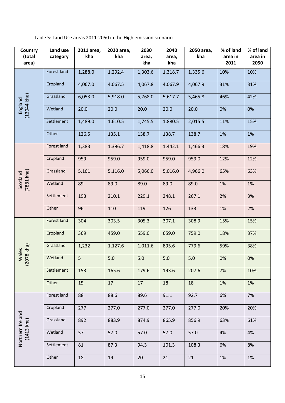Table 5: Land Use areas 2011‐2050 in the High emission scenario

| Country                | Land use    | 2011 area, | 2020 area, | 2030    | 2040    | 2050 area, | % of land | % of land |
|------------------------|-------------|------------|------------|---------|---------|------------|-----------|-----------|
| (total                 | category    | kha        | kha        | area,   | area,   | kha        | area in   | area in   |
| area)                  |             |            |            | kha     | kha     |            | 2011      | 2050      |
|                        | Forest land | 1,288.0    | 1,292.4    | 1,303.6 | 1,318.7 | 1,335.6    | 10%       | 10%       |
|                        | Cropland    | 4,067.0    | 4,067.5    | 4,067.8 | 4,067.9 | 4,067.9    | 31%       | 31%       |
| England<br>(13044 kha) | Grassland   | 6,053.0    | 5,918.0    | 5,768.0 | 5,617.7 | 5,465.8    | 46%       | 42%       |
|                        | Wetland     | 20.0       | 20.0       | 20.0    | 20.0    | 20.0       | 0%        | 0%        |
|                        | Settlement  | 1,489.0    | 1,610.5    | 1,745.5 | 1,880.5 | 2,015.5    | 11%       | 15%       |
|                        | Other       | 126.5      | 135.1      | 138.7   | 138.7   | 138.7      | 1%        | 1%        |
|                        | Forest land | 1,383      | 1,396.7    | 1,418.8 | 1,442.1 | 1,466.3    | 18%       | 19%       |
|                        | Cropland    | 959        | 959.0      | 959.0   | 959.0   | 959.0      | 12%       | 12%       |
|                        | Grassland   | 5,161      | 5,116.0    | 5,066.0 | 5,016.0 | 4,966.0    | 65%       | 63%       |
| (Fly 1887)<br>Scotland | Wetland     | 89         | 89.0       | 89.0    | 89.0    | 89.0       | 1%        | 1%        |
|                        | Settlement  | 193        | 210.1      | 229.1   | 248.1   | 267.1      | 2%        | 3%        |
|                        | Other       | 96         | 110        | 119     | 126     | 133        | 1%        | 2%        |
|                        | Forest land | 304        | 303.5      | 305.3   | 307.1   | 308.9      | 15%       | 15%       |
|                        | Cropland    | 369        | 459.0      | 559.0   | 659.0   | 759.0      | 18%       | 37%       |
| 078 kha                | Grassland   | 1,232      | 1,127.6    | 1,011.6 | 895.6   | 779.6      | 59%       | 38%       |
| Wales<br>$\tilde{q}$   | Wetland     | 5          | $5.0$      | $5.0$   | $5.0$   | $5.0$      | 0%        | $0\%$     |
|                        | Settlement  | 153        | 165.6      | 179.6   | 193.6   | 207.6      | 7%        | 10%       |
|                        | Other       | 15         | 17         | 17      | 18      | 18         | 1%        | 1%        |
|                        | Forest land | 88         | 88.6       | 89.6    | 91.1    | 92.7       | 6%        | 7%        |
|                        | Cropland    | 277        | 277.0      | 277.0   | 277.0   | 277.0      | 20%       | 20%       |
| Northern Ireland       | Grassland   | 892        | 883.9      | 874.9   | 865.9   | 856.9      | 63%       | 61%       |
| $(1413$ kha)           | Wetland     | 57         | 57.0       | 57.0    | 57.0    | 57.0       | 4%        | 4%        |
|                        | Settlement  | 81         | 87.3       | 94.3    | 101.3   | 108.3      | 6%        | 8%        |
|                        | Other       | 18         | 19         | 20      | 21      | 21         | 1%        | 1%        |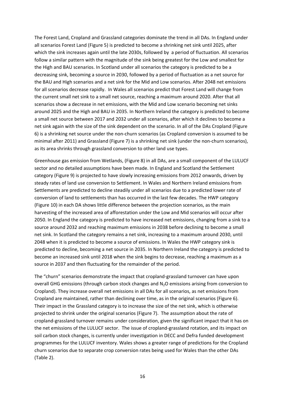The Forest Land, Cropland and Grassland categories dominate the trend in all DAs. In England under all scenarios Forest Land (Figure 5) is predicted to become a shrinking net sink until 2025, after which the sink increases again until the late 2030s, followed by a period of fluctuation. All scenarios follow a similar pattern with the magnitude of the sink being greatest for the Low and smallest for the High and BAU scenarios. In Scotland under all scenarios the category is predicted to be a decreasing sink, becoming a source in 2030, followed by a period of fluctuation as a net source for the BAU and High scenarios and a net sink for the Mid and Low scenarios. After 2048 net emissions for all scenarios decrease rapidly. In Wales all scenarios predict that Forest Land will change from the current small net sink to a small net source, reaching a maximum around 2020. After that all scenarios show a decrease in net emissions, with the Mid and Low scenario becoming net sinks around 2025 and the High and BAU in 2035. In Northern Ireland the category is predicted to become a small net source between 2017 and 2032 under all scenarios, after which it declines to become a net sink again with the size of the sink dependent on the scenario. In all of the DAs Cropland (Figure 6) is a shrinking net source under the non‐churn scenarios (as Cropland conversion is assumed to be minimal after 2011) and Grassland (Figure 7) is a shrinking net sink (under the non‐churn scenarios), as its area shrinks through grassland conversion to other land use types.

Greenhouse gas emission from Wetlands, (Figure 8) in all DAs, are a small component of the LULUCF sector and no detailed assumptions have been made. In England and Scotland the Settlement category (Figure 9) is projected to have slowly increasing emissions from 2012 onwards, driven by steady rates of land use conversion to Settlement. In Wales and Northern Ireland emissions from Settlements are predicted to decline steadily under all scenarios due to a predicted lower rate of conversion of land to settlements than has occurred in the last few decades. The HWP category (Figure 10) in each DA shows little difference between the projection scenarios, as the main harvesting of the increased area of afforestation under the Low and Mid scenarios will occur after 2050. In England the category is predicted to have increased net emissions, changing from a sink to a source around 2032 and reaching maximum emissions in 2038 before declining to become a small net sink. In Scotland the category remains a net sink, increasing to a maximum around 2030, until 2048 when it is predicted to become a source of emissions. In Wales the HWP category sink is predicted to decline, becoming a net source in 2035. In Northern Ireland the category is predicted to become an increased sink until 2018 when the sink begins to decrease, reaching a maximum as a source in 2037 and then fluctuating for the remainder of the period.

The "churn" scenarios demonstrate the impact that cropland‐grassland turnover can have upon overall GHG emissions (through carbon stock changes and  $N_2O$  emissions arising from conversion to Cropland). They increase overall net emissions in all DAs for all scenarios, as net emissions from Cropland are maintained, rather than declining over time, as in the original scenarios (Figure 6). Their impact in the Grassland category is to increase the size of the net sink, which is otherwise projected to shrink under the original scenarios (Figure 7). The assumption about the rate of cropland‐grassland turnover remains under consideration, given the significant impact that it has on the net emissions of the LULUCF sector. The issue of cropland‐grassland rotation, and its impact on soil carbon stock changes, is currently under investigation in DECC and Defra funded development programmes for the LULUCF inventory. Wales shows a greater range of predictions for the Cropland churn scenarios due to separate crop conversion rates being used for Wales than the other DAs (Table 2).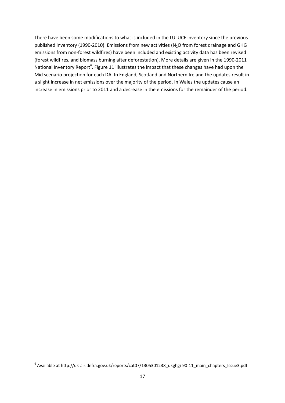There have been some modifications to what is included in the LULUCF inventory since the previous published inventory (1990-2010). Emissions from new activities ( $N<sub>2</sub>O$  from forest drainage and GHG emissions from non-forest wildfires) have been included and existing activity data has been revised (forest wildfires, and biomass burning after deforestation). More details are given in the 1990‐2011 National Inventory Report<sup>6</sup>. Figure 11 illustrates the impact that these changes have had upon the Mid scenario projection for each DA. In England, Scotland and Northern Ireland the updates result in a slight increase in net emissions over the majority of the period. In Wales the updates cause an increase in emissions prior to 2011 and a decrease in the emissions for the remainder of the period.

<sup>&</sup>lt;sup>6</sup> Available at http://uk-air.defra.gov.uk/reports/cat07/1305301238\_ukghgi-90-11\_main\_chapters\_Issue3.pdf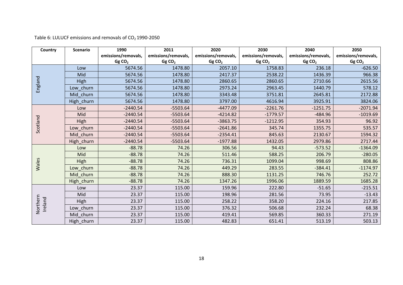|  |  | Table 6: LULUCF emissions and removals of $CO2$ 1990-2050 |  |  |  |  |
|--|--|-----------------------------------------------------------|--|--|--|--|
|--|--|-----------------------------------------------------------|--|--|--|--|

| Country             | <b>Scenario</b> | 1990                | 2011                | 2020                | 2030                | 2040                | 2050                |
|---------------------|-----------------|---------------------|---------------------|---------------------|---------------------|---------------------|---------------------|
|                     |                 | emissions/removals, | emissions/removals, | emissions/removals, | emissions/removals, | emissions/removals, | emissions/removals, |
|                     |                 | GgCO <sub>2</sub>   | GgCO <sub>2</sub>   | GgCO <sub>2</sub>   | GgCO <sub>2</sub>   | GgCO <sub>2</sub>   | GgCO <sub>2</sub>   |
|                     | Low             | 5674.56             | 1478.80             | 2057.10             | 1758.83             | 236.18              | $-626.50$           |
|                     | Mid             | 5674.56             | 1478.80             | 2417.37             | 2538.22             | 1436.39             | 966.38              |
|                     | <b>High</b>     | 5674.56             | 1478.80             | 2860.65             | 2860.65             | 2710.66             | 2615.56             |
| England             | Low churn       | 5674.56             | 1478.80             | 2973.24             | 2963.45             | 1440.79             | 578.12              |
|                     | churn<br>Mid    | 5674.56             | 1478.80             | 3343.48             | 3751.81             | 2645.81             | 2172.88             |
|                     | High churn      | 5674.56             | 1478.80             | 3797.00             | 4616.94             | 3925.91             | 3824.06             |
|                     | Low             | $-2440.54$          | $-5503.64$          | $-4477.09$          | $-2261.76$          | $-1251.75$          | $-2071.94$          |
|                     | Mid             | $-2440.54$          | $-5503.64$          | $-4214.82$          | $-1779.57$          | $-484.96$           | $-1019.69$          |
| Scotland            | High            | $-2440.54$          | $-5503.64$          | $-3863.75$          | $-1212.95$          | 354.93              | 96.92               |
|                     | Low churn       | $-2440.54$          | $-5503.64$          | $-2641.86$          | 345.74              | 1355.75             | 535.57              |
|                     | Mid churn       | $-2440.54$          | $-5503.64$          | $-2354.41$          | 845.63              | 2130.67             | 1594.32             |
|                     | High_churn      | $-2440.54$          | $-5503.64$          | $-1977.88$          | 1432.05             | 2979.86             | 2717.44             |
|                     | Low             | $-88.78$            | 74.26               | 306.56              | 94.43               | $-573.52$           | $-1364.09$          |
|                     | Mid             | $-88.78$            | 74.26               | 511.46              | 588.25              | 206.79              | $-280.05$           |
|                     | <b>High</b>     | $-88.78$            | 74.26               | 736.31              | 1099.04             | 998.69              | 808.86              |
| Wales               | Low churn       | $-88.78$            | 74.26               | 449.29              | 283.55              | $-384.41$           | $-1174.97$          |
|                     | Mid<br>churn    | $-88.78$            | 74.26               | 888.30              | 1131.25             | 746.76              | 252.72              |
|                     | High_churn      | $-88.78$            | 74.26               | 1347.26             | 1996.06             | 1889.59             | 1685.28             |
|                     | Low             | 23.37               | 115.00              | 159.96              | 222.80              | $-51.65$            | $-215.51$           |
|                     | Mid             | 23.37               | 115.00              | 198.96              | 281.56              | 73.95               | $-13.43$            |
| Northern<br>Ireland | High            | 23.37               | 115.00              | 258.22              | 358.20              | 224.16              | 217.85              |
|                     | churn<br>Low    | 23.37               | 115.00              | 376.32              | 506.68              | 232.24              | 68.38               |
|                     | Mid churn       | 23.37               | 115.00              | 419.41              | 569.85              | 360.33              | 271.19              |
|                     | High_churn      | 23.37               | 115.00              | 482.83              | 651.41              | 513.19              | 503.13              |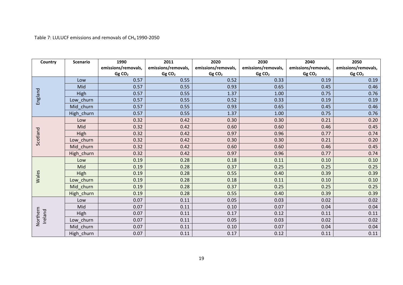Table 7: LULUCF emissions and removals of CH<sub>4</sub> 1990-2050

| Country             | <b>Scenario</b> | 1990                | 2011                | 2020                | 2030                | 2040                | 2050                |
|---------------------|-----------------|---------------------|---------------------|---------------------|---------------------|---------------------|---------------------|
|                     |                 | emissions/removals, | emissions/removals, | emissions/removals, | emissions/removals, | emissions/removals, | emissions/removals, |
|                     |                 | GgCO <sub>2</sub>   | GgCO <sub>2</sub>   | GgCO <sub>2</sub>   | GgCO <sub>2</sub>   | GgCO <sub>2</sub>   | GgCO <sub>2</sub>   |
|                     | Low             | 0.57                | 0.55                | 0.52                | 0.33                | 0.19                | 0.19                |
|                     | Mid             | 0.57                | 0.55                | 0.93                | 0.65                | 0.45                | 0.46                |
|                     | <b>High</b>     | 0.57                | 0.55                | 1.37                | 1.00                | 0.75                | 0.76                |
| England             | Low churn       | 0.57                | 0.55                | 0.52                | 0.33                | 0.19                | 0.19                |
|                     | Mid churn       | 0.57                | 0.55                | 0.93                | 0.65                | 0.45                | 0.46                |
|                     | High_churn      | 0.57                | 0.55                | 1.37                | 1.00                | 0.75                | 0.76                |
|                     | Low             | 0.32                | 0.42                | 0.30                | 0.30                | 0.21                | 0.20                |
|                     | Mid             | 0.32                | 0.42                | 0.60                | 0.60                | 0.46                | 0.45                |
| Scotland            | High            | 0.32                | 0.42                | 0.97                | 0.96                | 0.77                | 0.74                |
|                     | Low churn       | 0.32                | 0.42                | 0.30                | 0.30                | 0.21                | 0.20                |
|                     | Mid churn       | 0.32                | 0.42                | 0.60                | 0.60                | 0.46                | 0.45                |
|                     | High_churn      | 0.32                | 0.42                | 0.97                | 0.96                | 0.77                | 0.74                |
|                     | Low             | 0.19                | 0.28                | 0.18                | 0.11                | 0.10                | 0.10                |
|                     | Mid             | 0.19                | 0.28                | 0.37                | 0.25                | 0.25                | 0.25                |
|                     | High            | 0.19                | 0.28                | 0.55                | 0.40                | 0.39                | 0.39                |
| Wales               | Low churn       | 0.19                | 0.28                | 0.18                | 0.11                | 0.10                | 0.10                |
|                     | Mid churn       | 0.19                | 0.28                | 0.37                | 0.25                | 0.25                | 0.25                |
|                     | High_churn      | 0.19                | 0.28                | 0.55                | 0.40                | 0.39                | 0.39                |
|                     | Low             | 0.07                | 0.11                | 0.05                | 0.03                | 0.02                | 0.02                |
|                     | Mid             | 0.07                | 0.11                | 0.10                | 0.07                | 0.04                | 0.04                |
| Northern<br>Ireland | <b>High</b>     | 0.07                | 0.11                | 0.17                | 0.12                | 0.11                | 0.11                |
|                     | Low churn       | 0.07                | 0.11                | 0.05                | 0.03                | 0.02                | 0.02                |
|                     | Mid churn       | 0.07                | 0.11                | 0.10                | 0.07                | 0.04                | 0.04                |
|                     | High_churn      | 0.07                | 0.11                | 0.17                | 0.12                | 0.11                | 0.11                |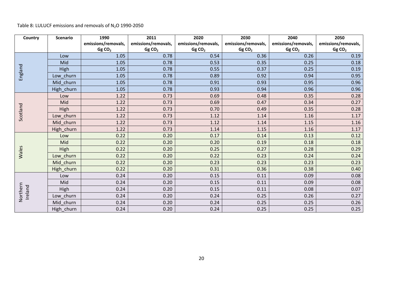#### Table 8: LULUCF emissions and removals of N<sub>2</sub>O 1990-2050

| Country             | <b>Scenario</b> | 1990                | 2011                | 2020                | 2030                | 2040                | 2050                |
|---------------------|-----------------|---------------------|---------------------|---------------------|---------------------|---------------------|---------------------|
|                     |                 | emissions/removals, | emissions/removals, | emissions/removals, | emissions/removals, | emissions/removals, | emissions/removals, |
|                     |                 | GgCO <sub>2</sub>   | GgCO <sub>2</sub>   | GgCO <sub>2</sub>   | GgCO <sub>2</sub>   | GgCO <sub>2</sub>   | GgCO <sub>2</sub>   |
| England             | Low             | 1.05                | 0.78                | 0.54                | 0.36                | 0.26                | 0.19                |
|                     | Mid             | 1.05                | 0.78                | 0.53                | 0.35                | 0.25                | 0.18                |
|                     | High            | 1.05                | 0.78                | 0.55                | 0.37                | 0.25                | 0.19                |
|                     | Low_churn       | 1.05                | 0.78                | 0.89                | 0.92                | 0.94                | 0.95                |
|                     | Mid_churn       | 1.05                | 0.78                | 0.91                | 0.93                | 0.95                | 0.96                |
|                     | High_churn      | 1.05                | 0.78                | 0.93                | 0.94                | 0.96                | 0.96                |
|                     | Low             | 1.22                | 0.73                | 0.69                | 0.48                | 0.35                | 0.28                |
|                     | Mid             | 1.22                | 0.73                | 0.69                | 0.47                | 0.34                | 0.27                |
| Scotland            | High            | 1.22                | 0.73                | 0.70                | 0.49                | 0.35                | 0.28                |
|                     | Low churn       | 1.22                | 0.73                | 1.12                | 1.14                | 1.16                | 1.17                |
|                     | Mid_churn       | 1.22                | 0.73                | 1.12                | 1.14                | 1.15                | 1.16                |
|                     | High_churn      | 1.22                | 0.73                | 1.14                | 1.15                | 1.16                | 1.17                |
| Wales               | Low             | 0.22                | 0.20                | 0.17                | 0.14                | 0.13                | 0.12                |
|                     | Mid             | 0.22                | 0.20                | 0.20                | 0.19                | 0.18                | 0.18                |
|                     | High            | 0.22                | 0.20                | 0.25                | 0.27                | 0.28                | 0.29                |
|                     | Low churn       | 0.22                | 0.20                | 0.22                | 0.23                | 0.24                | 0.24                |
|                     | Mid_churn       | 0.22                | 0.20                | 0.23                | 0.23                | 0.23                | 0.23                |
|                     | High_churn      | 0.22                | 0.20                | 0.31                | 0.36                | 0.38                | 0.40                |
| Northern<br>Ireland | Low             | 0.24                | 0.20                | 0.15                | 0.11                | 0.09                | 0.08                |
|                     | Mid             | 0.24                | 0.20                | 0.15                | 0.11                | 0.09                | 0.08                |
|                     | High            | 0.24                | 0.20                | 0.15                | 0.11                | 0.08                | 0.07                |
|                     | Low_churn       | 0.24                | 0.20                | 0.24                | 0.25                | 0.26                | 0.27                |
|                     | Mid_churn       | 0.24                | 0.20                | 0.24                | 0.25                | 0.25                | 0.26                |
|                     | High_churn      | 0.24                | 0.20                | 0.24                | 0.25                | 0.25                | 0.25                |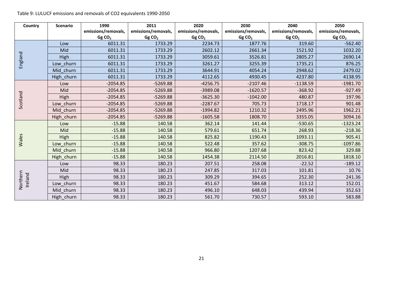Table 9: LULUCF emissions and removals of CO2 equivalents 1990‐2050

| Country             | <b>Scenario</b> | 1990                | 2011                | 2020                | 2030                | 2040                | 2050                |
|---------------------|-----------------|---------------------|---------------------|---------------------|---------------------|---------------------|---------------------|
|                     |                 | emissions/removals, | emissions/removals, | emissions/removals, | emissions/removals, | emissions/removals, | emissions/removals, |
|                     |                 | GgCO <sub>2</sub>   | GgCO <sub>2</sub>   | GgCO <sub>2</sub>   | GgCO <sub>2</sub>   | GgCO <sub>2</sub>   | GgCO <sub>2</sub>   |
| England             | Low             | 6011.31             | 1733.29             | 2234.73             | 1877.76             | 319.60              | $-562.40$           |
|                     | Mid             | 6011.31             | 1733.29             | 2602.12             | 2661.34             | 1521.92             | 1032.20             |
|                     | <b>High</b>     | 6011.31             | 1733.29             | 3059.61             | 3526.81             | 2805.27             | 2690.14             |
|                     | Low churn       | 6011.31             | 1733.29             | 3261.27             | 3255.39             | 1735.21             | 876.25              |
|                     | churn<br>Mid    | 6011.31             | 1733.29             | 3644.91             | 4054.24             | 2948.62             | 2479.02             |
|                     | High_churn      | 6011.31             | 1733.29             | 4112.65             | 4930.45             | 4237.80             | 4138.95             |
|                     | Low             | $-2054.85$          | $-5269.88$          | $-4256.75$          | $-2107.46$          | $-1138.59$          | $-1981.70$          |
|                     | Mid             | $-2054.85$          | $-5269.88$          | -3989.08            | $-1620.57$          | $-368.92$           | $-927.49$           |
| Scotland            | High            | $-2054.85$          | $-5269.88$          | $-3625.30$          | $-1042.00$          | 480.87              | 197.96              |
|                     | Low_churn       | $-2054.85$          | $-5269.88$          | $-2287.67$          | 705.73              | 1718.17             | 901.48              |
|                     | Mid churn       | $-2054.85$          | $-5269.88$          | $-1994.82$          | 1210.32             | 2495.96             | 1962.21             |
|                     | High churn      | $-2054.85$          | $-5269.88$          | $-1605.58$          | 1808.70             | 3355.05             | 3094.16             |
| Wales               | Low             | $-15.88$            | 140.58              | 362.14              | 141.44              | $-530.65$           | $-1323.24$          |
|                     | Mid             | $-15.88$            | 140.58              | 579.61              | 651.74              | 268.93              | $-218.36$           |
|                     | <b>High</b>     | $-15.88$            | 140.58              | 825.82              | 1190.43             | 1093.11             | 905.41              |
|                     | Low_churn       | $-15.88$            | 140.58              | 522.48              | 357.62              | $-308.75$           | $-1097.86$          |
|                     | Mid churn       | $-15.88$            | 140.58              | 966.80              | 1207.68             | 823.42              | 329.88              |
|                     | High_churn      | $-15.88$            | 140.58              | 1454.38             | 2114.50             | 2016.81             | 1818.10             |
| Northern<br>Ireland | Low             | 98.33               | 180.23              | 207.51              | 258.08              | $-22.52$            | $-189.12$           |
|                     | Mid             | 98.33               | 180.23              | 247.85              | 317.03              | 101.81              | 10.76               |
|                     | High            | 98.33               | 180.23              | 309.29              | 394.65              | 252.30              | 241.36              |
|                     | Low churn       | 98.33               | 180.23              | 451.67              | 584.68              | 313.12              | 152.01              |
|                     | Mid churn       | 98.33               | 180.23              | 496.10              | 648.03              | 439.94              | 352.63              |
|                     | High_churn      | 98.33               | 180.23              | 561.70              | 730.57              | 593.10              | 583.88              |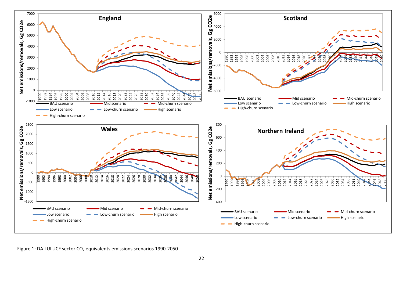

Figure 1: DA LULUCF sector CO<sub>2</sub> equivalents emissions scenarios 1990-2050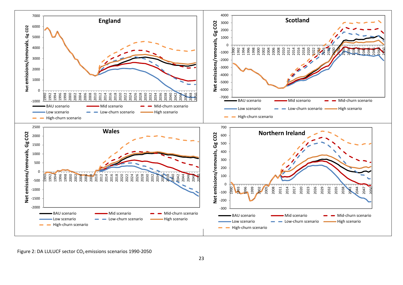

Figure 2: DA LULUCF sector CO<sub>2</sub> emissions scenarios 1990-2050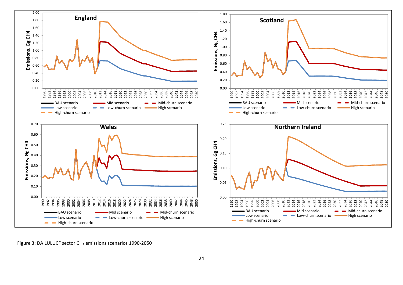

Figure 3: DA LULUCF sector CH<sub>4</sub> emissions scenarios 1990-2050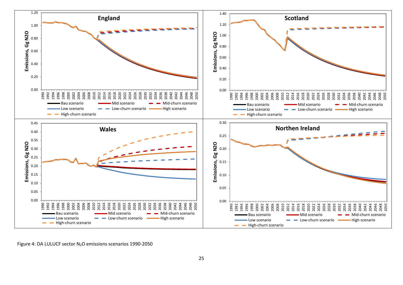

Figure 4: DA LULUCF sector N<sub>2</sub>O emissions scenarios 1990-2050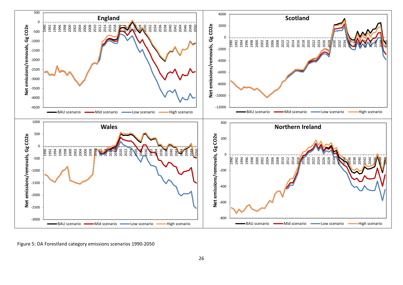

Figure 5: DA Forestland category emissions scenarios 1990‐2050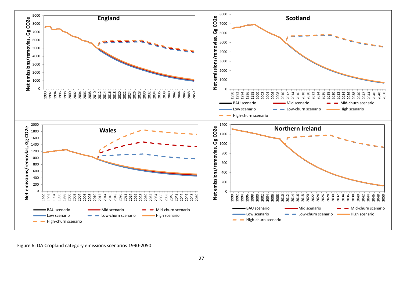

Figure 6: DA Cropland category emissions scenarios 1990‐2050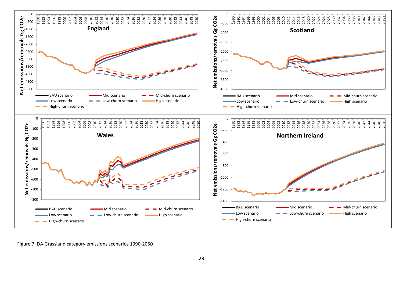

Figure 7: DA Grassland category emissions scenarios 1990‐2050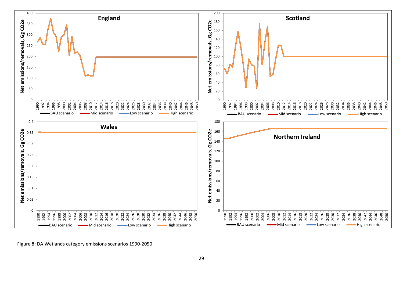

Figure 8: DA Wetlands category emissions scenarios 1990‐2050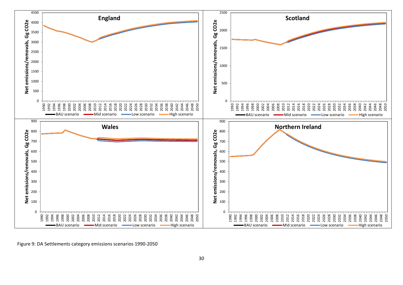

Figure 9: DA Settlements category emissions scenarios 1990‐2050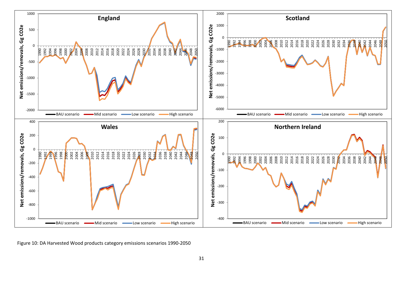

Figure 10: DA Harvested Wood products category emissions scenarios 1990‐2050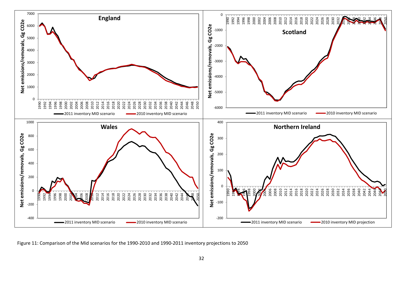

Figure 11: Comparison of the Mid scenarios for the 1990‐2010 and 1990‐2011 inventory projections to 2050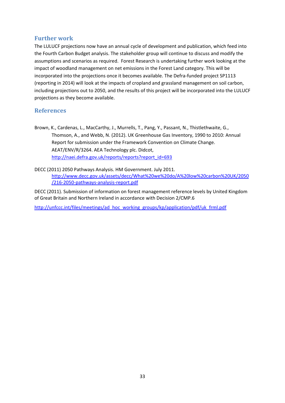#### **Further work**

The LULUCF projections now have an annual cycle of development and publication, which feed into the Fourth Carbon Budget analysis. The stakeholder group will continue to discuss and modify the assumptions and scenarios as required. Forest Research is undertaking further work looking at the impact of woodland management on net emissions in the Forest Land category. This will be incorporated into the projections once it becomes available. The Defra-funded project SP1113 (reporting in 2014) will look at the impacts of cropland and grassland management on soil carbon, including projections out to 2050, and the results of this project will be incorporated into the LULUCF projections as they become available.

#### **References**

Brown, K., Cardenas, L., MacCarthy, J., Murrells, T., Pang, Y., Passant, N., Thistlethwaite, G., Thomson, A., and Webb, N. (2012). UK Greenhouse Gas Inventory, 1990 to 2010: Annual Report for submission under the Framework Convention on Climate Change. AEAT/ENV/R/3264. AEA Technology plc. Didcot, http://naei.defra.gov.uk/reports/reports?report\_id=693

DECC (2011) 2050 Pathways Analysis. HM Government. July 2011. http://www.decc.gov.uk/assets/decc/What%20we%20do/A%20low%20carbon%20UK/2050 /216‐2050‐pathways‐analysis‐report.pdf

DECC (2011). Submission of information on forest management reference levels by United Kingdom of Great Britain and Northern Ireland in accordance with Decision 2/CMP.6

http://unfccc.int/files/meetings/ad\_hoc\_working\_groups/kp/application/pdf/uk\_frml.pdf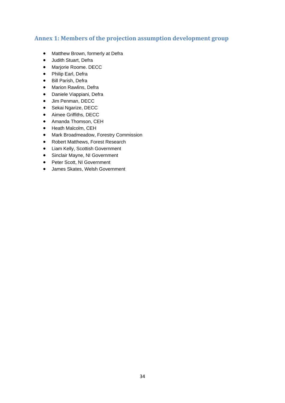#### **Annex 1: Members of the projection assumption development group**

- Matthew Brown, formerly at Defra
- Judith Stuart, Defra
- Marjorie Roome. DECC
- Philip Earl, Defra
- Bill Parish, Defra
- Marion Rawlins, Defra
- Daniele Viappiani, Defra
- Jim Penman, DECC
- Sekai Ngarize, DECC
- Aimee Griffiths, DECC
- Amanda Thomson, CEH
- Heath Malcolm, CEH
- Mark Broadmeadow, Forestry Commission
- Robert Matthews, Forest Research
- Liam Kelly, Scottish Government
- Sinclair Mayne, NI Government
- Peter Scott, NI Government
- James Skates, Welsh Government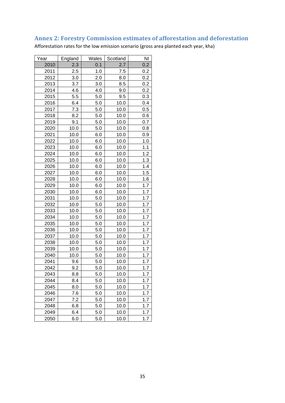## **Annex 2: Forestry Commission estimates of afforestation and deforestation**

Afforestation rates for the low emission scenario (gross area planted each year, kha)

| Year | England | Wales   | Scotland | NI  |
|------|---------|---------|----------|-----|
| 2010 | 2.3     | 0.1     | 2.7      | 0.2 |
| 2011 | 2.5     | 1.0     | 7.5      | 0.2 |
| 2012 | 3.0     | 2.0     | 8.0      | 0.2 |
| 2013 | 3.7     | 3.0     | 8.5      | 0.2 |
| 2014 | 4.6     | 4.0     | 9.0      | 0.2 |
| 2015 | 5.5     | 5.0     | 9.5      | 0.3 |
| 2016 | 6.4     | 5.0     | 10.0     | 0.4 |
| 2017 | 7.3     | 5.0     | 10.0     | 0.5 |
| 2018 | 8.2     | 5.0     | 10.0     | 0.6 |
| 2019 | 9.1     | 5.0     | 10.0     | 0.7 |
| 2020 | 10.0    | 5.0     | 10.0     | 0.8 |
| 2021 | 10.0    | 6.0     | 10.0     | 0.9 |
| 2022 | 10.0    | 6.0     | 10.0     | 1.0 |
| 2023 | 10.0    | 6.0     | 10.0     | 1.1 |
| 2024 | 10.0    | 6.0     | 10.0     | 1.2 |
| 2025 | 10.0    | 6.0     | 10.0     | 1.3 |
| 2026 | 10.0    | 6.0     | 10.0     | 1.4 |
| 2027 | 10.0    | 6.0     | 10.0     | 1.5 |
| 2028 | 10.0    | 6.0     | 10.0     | 1.6 |
| 2029 | 10.0    | 6.0     | 10.0     | 1.7 |
| 2030 | 10.0    | 6.0     | 10.0     | 1.7 |
| 2031 | 10.0    | 5.0     | 10.0     | 1.7 |
| 2032 | 10.0    | 5.0     | 10.0     | 1.7 |
| 2033 | 10.0    | 5.0     | 10.0     | 1.7 |
| 2034 | 10.0    | 5.0     | 10.0     | 1.7 |
| 2035 | 10.0    | 5.0     | 10.0     | 1.7 |
| 2036 | 10.0    | 5.0     | 10.0     | 1.7 |
| 2037 | 10.0    | $5.0\,$ | 10.0     | 1.7 |
| 2038 | 10.0    | 5.0     | 10.0     | 1.7 |
| 2039 | 10.0    | 5.0     | 10.0     | 1.7 |
| 2040 | 10.0    | 5.0     | 10.0     | 1.7 |
| 2041 | 9.6     | 5.0     | 10.0     | 1.7 |
| 2042 | 9.2     | 5.0     | 10.0     | 1.7 |
| 2043 | 8.8     | 5.0     | 10.0     | 1.7 |
| 2044 | 8.4     | 5.0     | 10.0     | 1.7 |
| 2045 | 8.0     | 5.0     | 10.0     | 1.7 |
| 2046 | 7.6     | 5.0     | 10.0     | 1.7 |
| 2047 | 7.2     | 5.0     | 10.0     | 1.7 |
| 2048 | 6.8     | 5.0     | 10.0     | 1.7 |
| 2049 | 6.4     | 5.0     | 10.0     | 1.7 |
| 2050 | 6.0     | 5.0     | 10.0     | 1.7 |